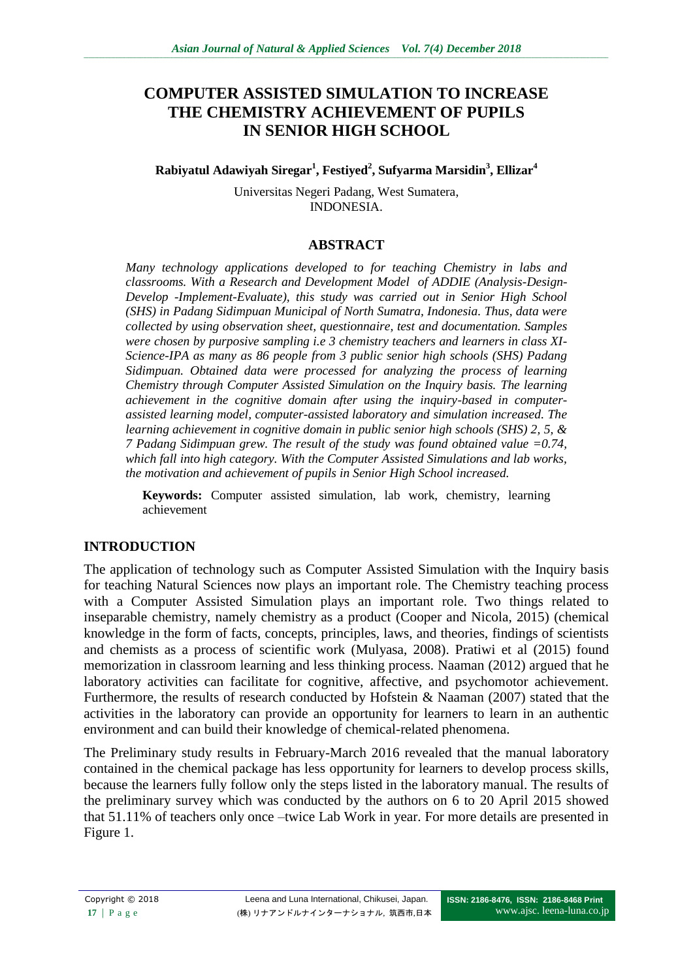# **COMPUTER ASSISTED SIMULATION TO INCREASE THE CHEMISTRY ACHIEVEMENT OF PUPILS IN SENIOR HIGH SCHOOL**

**Rabiyatul Adawiyah Siregar<sup>1</sup> , Festiyed<sup>2</sup> , Sufyarma Marsidin<sup>3</sup> , Ellizar<sup>4</sup>**

Universitas Negeri Padang, West Sumatera, INDONESIA.

### **ABSTRACT**

*Many technology applications developed to for teaching Chemistry in labs and classrooms. With a Research and Development Model of ADDIE (Analysis-Design-Develop -Implement-Evaluate), this study was carried out in Senior High School (SHS) in Padang Sidimpuan Municipal of North Sumatra, Indonesia. Thus, data were collected by using observation sheet, questionnaire, test and documentation. Samples were chosen by purposive sampling i.e 3 chemistry teachers and learners in class XI-Science-IPA as many as 86 people from 3 public senior high schools (SHS) Padang Sidimpuan. Obtained data were processed for analyzing the process of learning Chemistry through Computer Assisted Simulation on the Inquiry basis. The learning achievement in the cognitive domain after using the inquiry-based in computerassisted learning model, computer-assisted laboratory and simulation increased. The learning achievement in cognitive domain in public senior high schools (SHS) 2, 5, & 7 Padang Sidimpuan grew. The result of the study was found obtained value =0.74, which fall into high category. With the Computer Assisted Simulations and lab works, the motivation and achievement of pupils in Senior High School increased.* 

**Keywords:** Computer assisted simulation, lab work, chemistry, learning achievement

#### **INTRODUCTION**

The application of technology such as Computer Assisted Simulation with the Inquiry basis for teaching Natural Sciences now plays an important role. The Chemistry teaching process with a Computer Assisted Simulation plays an important role. Two things related to inseparable chemistry, namely chemistry as a product (Cooper and Nicola, 2015) (chemical knowledge in the form of facts, concepts, principles, laws, and theories, findings of scientists and chemists as a process of scientific work (Mulyasa, 2008). Pratiwi et al (2015) found memorization in classroom learning and less thinking process. Naaman (2012) argued that he laboratory activities can facilitate for cognitive, affective, and psychomotor achievement. Furthermore, the results of research conducted by Hofstein & Naaman (2007) stated that the activities in the laboratory can provide an opportunity for learners to learn in an authentic environment and can build their knowledge of chemical-related phenomena.

The Preliminary study results in February-March 2016 revealed that the manual laboratory contained in the chemical package has less opportunity for learners to develop process skills, because the learners fully follow only the steps listed in the laboratory manual. The results of the preliminary survey which was conducted by the authors on 6 to 20 April 2015 showed that 51.11% of teachers only once –twice Lab Work in year. For more details are presented in Figure 1.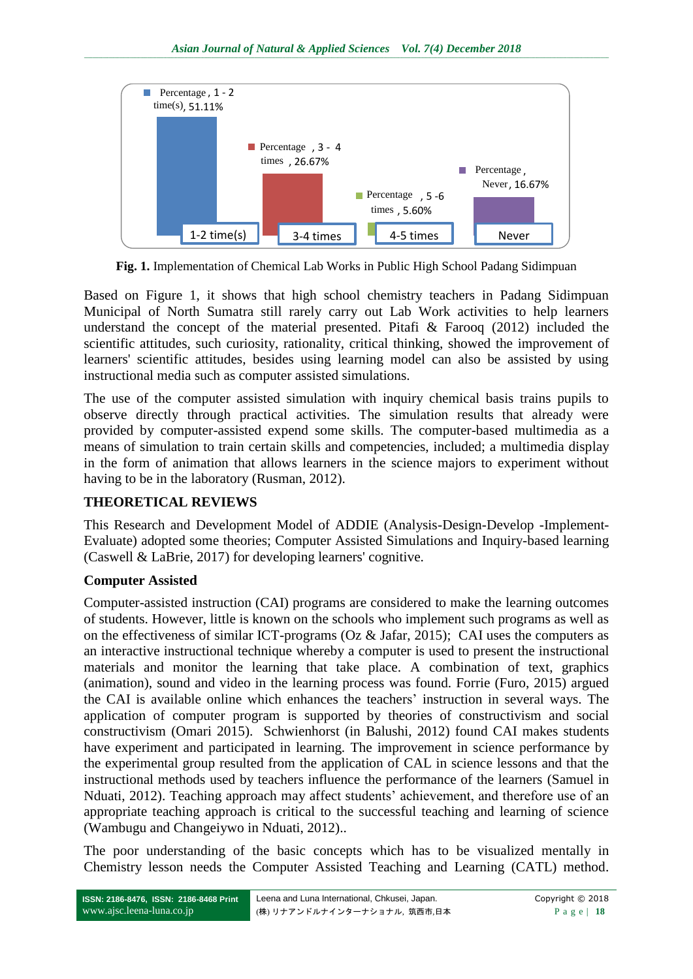

**Fig. 1.** Implementation of Chemical Lab Works in Public High School Padang Sidimpuan

Based on Figure 1, it shows that high school chemistry teachers in Padang Sidimpuan Municipal of North Sumatra still rarely carry out Lab Work activities to help learners understand the concept of the material presented. Pitafi & Farooq (2012) included the scientific attitudes, such curiosity, rationality, critical thinking, showed the improvement of learners' scientific attitudes, besides using learning model can also be assisted by using instructional media such as computer assisted simulations.

The use of the computer assisted simulation with inquiry chemical basis trains pupils to observe directly through practical activities. The simulation results that already were provided by computer-assisted expend some skills. The computer-based multimedia as a means of simulation to train certain skills and competencies, included; a multimedia display in the form of animation that allows learners in the science majors to experiment without having to be in the laboratory (Rusman, 2012).

#### **THEORETICAL REVIEWS**

This Research and Development Model of ADDIE (Analysis-Design-Develop -Implement-Evaluate) adopted some theories; Computer Assisted Simulations and Inquiry-based learning (Caswell & LaBrie, 2017) for developing learners' cognitive.

#### **Computer Assisted**

Computer-assisted instruction (CAI) programs are considered to make the learning outcomes of students. However, little is known on the schools who implement such programs as well as on the effectiveness of similar ICT-programs (Oz & Jafar, 2015); CAI uses the computers as an interactive instructional technique whereby a computer is used to present the instructional materials and monitor the learning that take place. A combination of text, graphics (animation), sound and video in the learning process was found. Forrie (Furo, 2015) argued the CAI is available online which enhances the teachers' instruction in several ways. The application of computer program is supported by theories of constructivism and social constructivism (Omari 2015). Schwienhorst (in Balushi, 2012) found CAI makes students have experiment and participated in learning. The improvement in science performance by the experimental group resulted from the application of CAL in science lessons and that the instructional methods used by teachers influence the performance of the learners (Samuel in Nduati, 2012). Teaching approach may affect students' achievement, and therefore use of an appropriate teaching approach is critical to the successful teaching and learning of science (Wambugu and Changeiywo in Nduati, 2012)..

The poor understanding of the basic concepts which has to be visualized mentally in Chemistry lesson needs the Computer Assisted Teaching and Learning (CATL) method.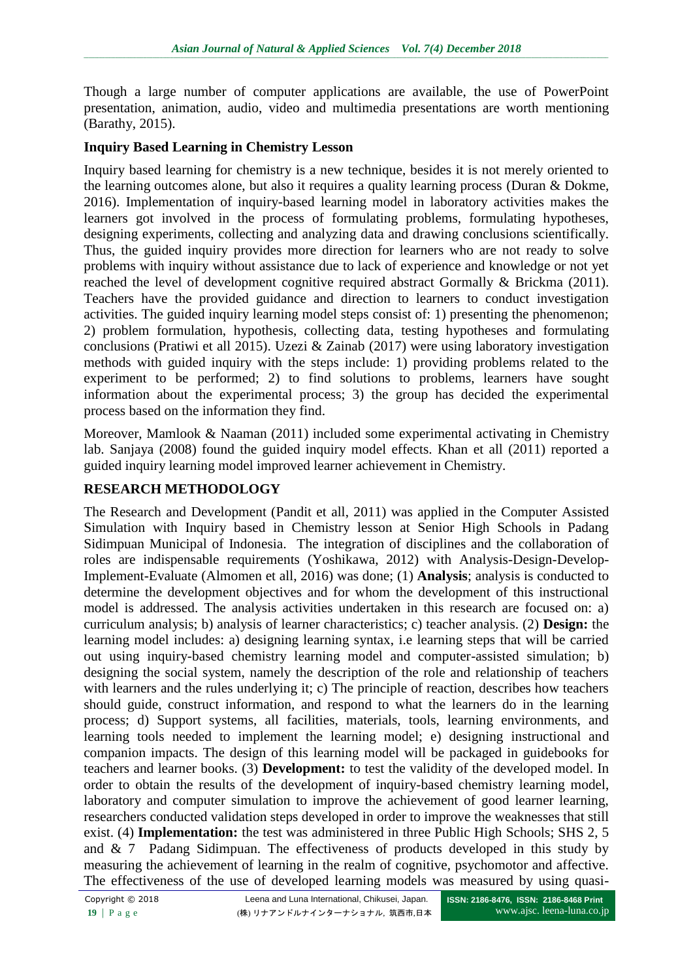Though a large number of computer applications are available, the use of PowerPoint presentation, animation, audio, video and multimedia presentations are worth mentioning (Barathy, 2015).

## **Inquiry Based Learning in Chemistry Lesson**

Inquiry based learning for chemistry is a new technique, besides it is not merely oriented to the learning outcomes alone, but also it requires a quality learning process (Duran & Dokme, 2016). Implementation of inquiry-based learning model in laboratory activities makes the learners got involved in the process of formulating problems, formulating hypotheses, designing experiments, collecting and analyzing data and drawing conclusions scientifically. Thus, the guided inquiry provides more direction for learners who are not ready to solve problems with inquiry without assistance due to lack of experience and knowledge or not yet reached the level of development cognitive required abstract Gormally & Brickma (2011). Teachers have the provided guidance and direction to learners to conduct investigation activities. The guided inquiry learning model steps consist of: 1) presenting the phenomenon; 2) problem formulation, hypothesis, collecting data, testing hypotheses and formulating conclusions (Pratiwi et all 2015). Uzezi & Zainab (2017) were using laboratory investigation methods with guided inquiry with the steps include: 1) providing problems related to the experiment to be performed; 2) to find solutions to problems, learners have sought information about the experimental process; 3) the group has decided the experimental process based on the information they find.

Moreover, Mamlook & Naaman (2011) included some experimental activating in Chemistry lab. Sanjaya (2008) found the guided inquiry model effects. Khan et all (2011) reported a guided inquiry learning model improved learner achievement in Chemistry.

## **RESEARCH METHODOLOGY**

The Research and Development (Pandit et all, 2011) was applied in the Computer Assisted Simulation with Inquiry based in Chemistry lesson at Senior High Schools in Padang Sidimpuan Municipal of Indonesia. The integration of disciplines and the collaboration of roles are indispensable requirements (Yoshikawa, 2012) with Analysis-Design-Develop-Implement-Evaluate (Almomen et all, 2016) was done; (1) **Analysis**; analysis is conducted to determine the development objectives and for whom the development of this instructional model is addressed. The analysis activities undertaken in this research are focused on: a) curriculum analysis; b) analysis of learner characteristics; c) teacher analysis. (2) **Design:** the learning model includes: a) designing learning syntax, i.e learning steps that will be carried out using inquiry-based chemistry learning model and computer-assisted simulation; b) designing the social system, namely the description of the role and relationship of teachers with learners and the rules underlying it; c) The principle of reaction, describes how teachers should guide, construct information, and respond to what the learners do in the learning process; d) Support systems, all facilities, materials, tools, learning environments, and learning tools needed to implement the learning model; e) designing instructional and companion impacts. The design of this learning model will be packaged in guidebooks for teachers and learner books. (3) **Development:** to test the validity of the developed model. In order to obtain the results of the development of inquiry-based chemistry learning model, laboratory and computer simulation to improve the achievement of good learner learning, researchers conducted validation steps developed in order to improve the weaknesses that still exist. (4) **Implementation:** the test was administered in three Public High Schools; SHS 2, 5 and & 7 Padang Sidimpuan. The effectiveness of products developed in this study by measuring the achievement of learning in the realm of cognitive, psychomotor and affective. The effectiveness of the use of developed learning models was measured by using quasi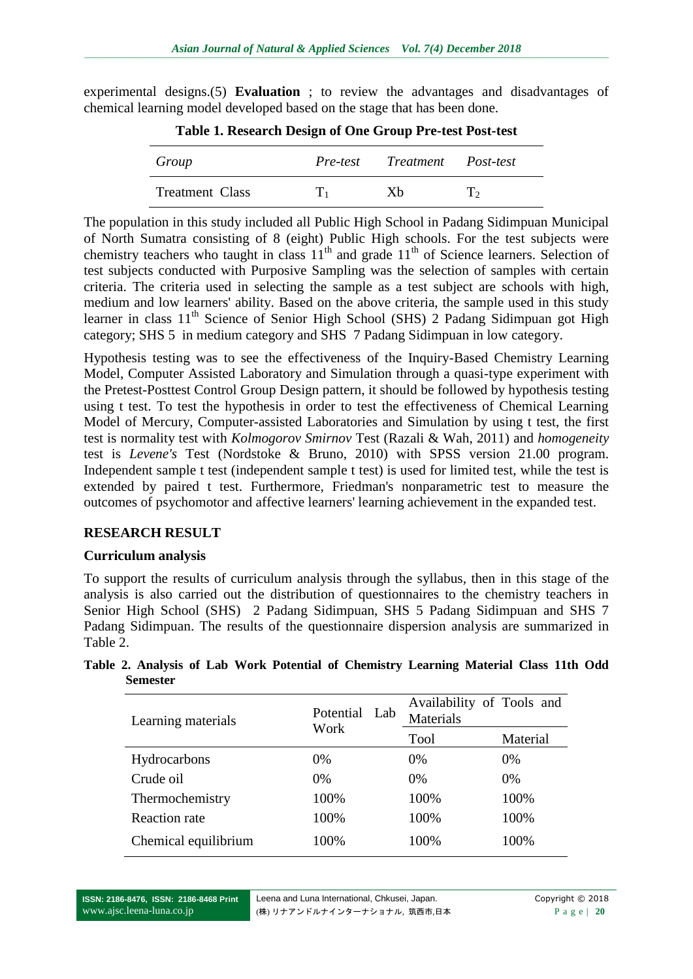experimental designs.(5) **Evaluation** ; to review the advantages and disadvantages of chemical learning model developed based on the stage that has been done.

| Group           |     | Pre-test Treatment Post-test |            |
|-----------------|-----|------------------------------|------------|
| Treatment Class | Ľ1. | Xh                           | $\Gamma_2$ |

**Table 1. Research Design of One Group Pre-test Post-test**

The population in this study included all Public High School in Padang Sidimpuan Municipal of North Sumatra consisting of 8 (eight) Public High schools. For the test subjects were chemistry teachers who taught in class  $11<sup>th</sup>$  and grade  $11<sup>th</sup>$  of Science learners. Selection of test subjects conducted with Purposive Sampling was the selection of samples with certain criteria. The criteria used in selecting the sample as a test subject are schools with high, medium and low learners' ability. Based on the above criteria, the sample used in this study learner in class 11<sup>th</sup> Science of Senior High School (SHS) 2 Padang Sidimpuan got High category; SHS 5 in medium category and SHS 7 Padang Sidimpuan in low category.

Hypothesis testing was to see the effectiveness of the Inquiry-Based Chemistry Learning Model, Computer Assisted Laboratory and Simulation through a quasi-type experiment with the Pretest-Posttest Control Group Design pattern, it should be followed by hypothesis testing using t test. To test the hypothesis in order to test the effectiveness of Chemical Learning Model of Mercury, Computer-assisted Laboratories and Simulation by using t test, the first test is normality test with *Kolmogorov Smirnov* Test (Razali & Wah, 2011) and *homogeneity* test is *Levene's* Test (Nordstoke & Bruno, 2010) with SPSS version 21.00 program. Independent sample t test (independent sample t test) is used for limited test, while the test is extended by paired t test. Furthermore, Friedman's nonparametric test to measure the outcomes of psychomotor and affective learners' learning achievement in the expanded test.

#### **RESEARCH RESULT**

#### **Curriculum analysis**

To support the results of curriculum analysis through the syllabus, then in this stage of the analysis is also carried out the distribution of questionnaires to the chemistry teachers in Senior High School (SHS) 2 Padang Sidimpuan, SHS 5 Padang Sidimpuan and SHS 7 Padang Sidimpuan. The results of the questionnaire dispersion analysis are summarized in Table 2.

**Table 2. Analysis of Lab Work Potential of Chemistry Learning Material Class 11th Odd Semester**

| Learning materials   | Potential Lab | Availability of Tools and<br>Materials |          |
|----------------------|---------------|----------------------------------------|----------|
|                      | Work          | Tool                                   | Material |
| Hydrocarbons         | $0\%$         | $0\%$                                  | $0\%$    |
| Crude oil            | $0\%$         | $0\%$                                  | $0\%$    |
| Thermochemistry      | 100%          | 100%                                   | 100%     |
| Reaction rate        | 100%          | 100%                                   | 100%     |
| Chemical equilibrium | 100%          | 100%                                   | 100%     |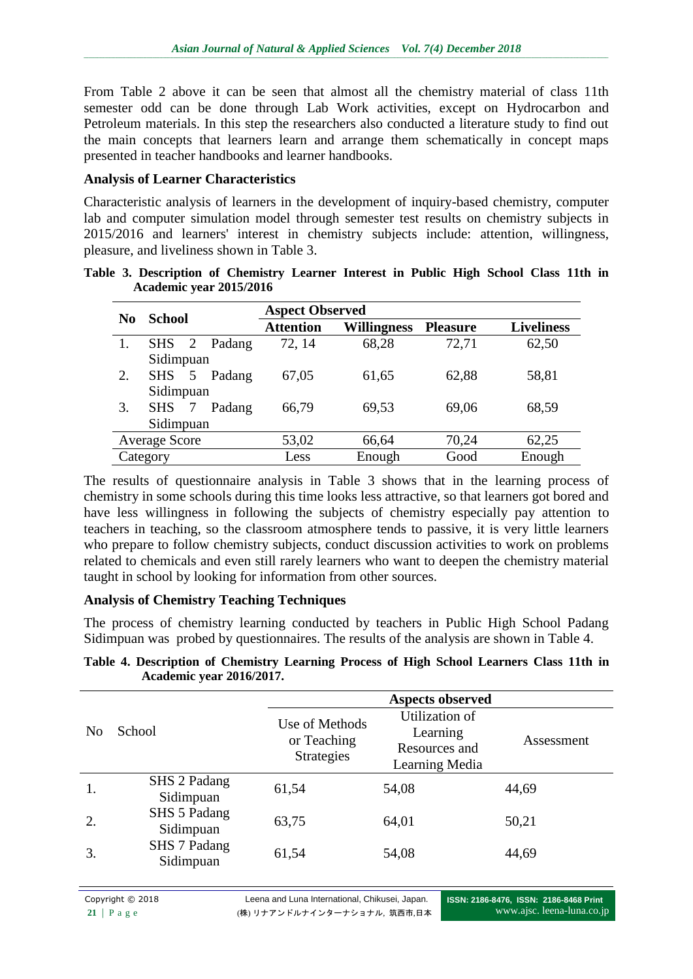From Table 2 above it can be seen that almost all the chemistry material of class 11th semester odd can be done through Lab Work activities, except on Hydrocarbon and Petroleum materials. In this step the researchers also conducted a literature study to find out the main concepts that learners learn and arrange them schematically in concept maps presented in teacher handbooks and learner handbooks.

#### **Analysis of Learner Characteristics**

Characteristic analysis of learners in the development of inquiry-based chemistry, computer lab and computer simulation model through semester test results on chemistry subjects in 2015/2016 and learners' interest in chemistry subjects include: attention, willingness, pleasure, and liveliness shown in Table 3.

|     | <b>School</b>        |                | <b>Aspect Observed</b> |                  |                    |                 |                   |
|-----|----------------------|----------------|------------------------|------------------|--------------------|-----------------|-------------------|
| No. |                      |                |                        | <b>Attention</b> | <b>Willingness</b> | <b>Pleasure</b> | <b>Liveliness</b> |
|     | $SHS$ 2              |                | Padang                 | 72, 14           | 68,28              | 72,71           | 62,50             |
|     | Sidimpuan            |                |                        |                  |                    |                 |                   |
| 2.  | <b>SHS</b>           | 5 <sup>5</sup> | Padang                 | 67,05            | 61,65              | 62,88           | 58,81             |
|     | Sidimpuan            |                |                        |                  |                    |                 |                   |
| 3.  | <b>SHS</b>           | $\overline{7}$ | Padang                 | 66,79            | 69,53              | 69,06           | 68,59             |
|     | Sidimpuan            |                |                        |                  |                    |                 |                   |
|     | <b>Average Score</b> |                |                        | 53,02            | 66,64              | 70,24           | 62,25             |
|     | Category             |                |                        | Less             | Enough             | Good            | Enough            |

**Table 3. Description of Chemistry Learner Interest in Public High School Class 11th in Academic year 2015/2016**

The results of questionnaire analysis in Table 3 shows that in the learning process of chemistry in some schools during this time looks less attractive, so that learners got bored and have less willingness in following the subjects of chemistry especially pay attention to teachers in teaching, so the classroom atmosphere tends to passive, it is very little learners who prepare to follow chemistry subjects, conduct discussion activities to work on problems related to chemicals and even still rarely learners who want to deepen the chemistry material taught in school by looking for information from other sources.

#### **Analysis of Chemistry Teaching Techniques**

The process of chemistry learning conducted by teachers in Public High School Padang Sidimpuan was probed by questionnaires. The results of the analysis are shown in Table 4.

|                |                           |                                                    | <b>Aspects observed</b>                                       |            |
|----------------|---------------------------|----------------------------------------------------|---------------------------------------------------------------|------------|
| N <sub>0</sub> | School                    | Use of Methods<br>or Teaching<br><b>Strategies</b> | Utilization of<br>Learning<br>Resources and<br>Learning Media | Assessment |
| 1.             | SHS 2 Padang<br>Sidimpuan | 61,54                                              | 54,08                                                         | 44,69      |
| 2.             | SHS 5 Padang<br>Sidimpuan | 63,75                                              | 64,01                                                         | 50,21      |
| 3.             | SHS 7 Padang<br>Sidimpuan | 61,54                                              | 54,08                                                         | 44,69      |

**Table 4. Description of Chemistry Learning Process of High School Learners Class 11th in Academic year 2016/2017.**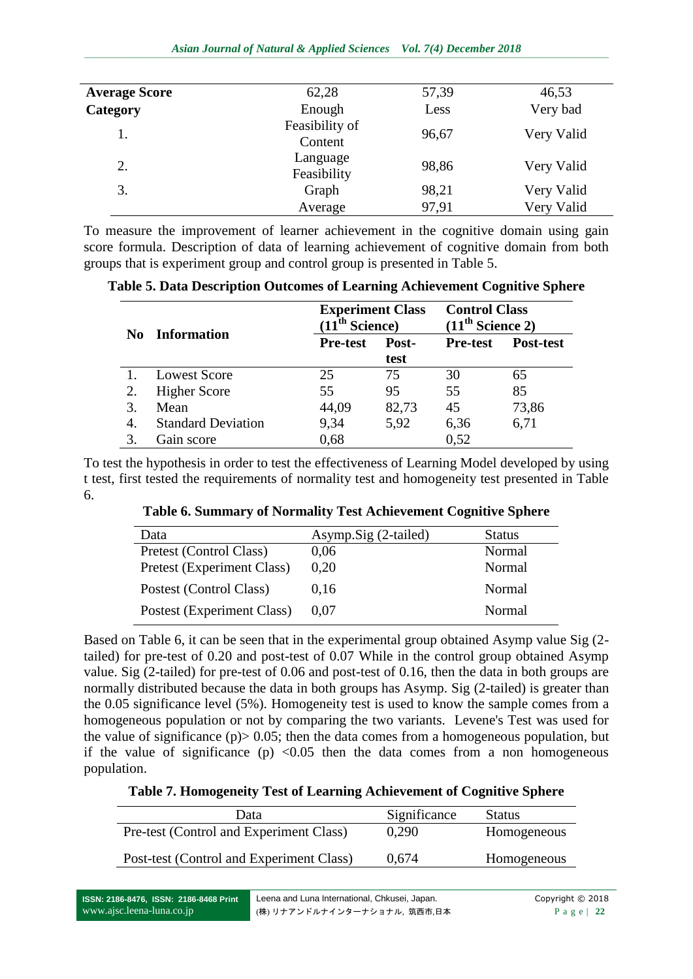| <b>Average Score</b> | 62,28                     | 57,39 | 46,53      |
|----------------------|---------------------------|-------|------------|
| Category             | Enough                    | Less  | Very bad   |
| 1.                   | Feasibility of<br>Content | 96,67 | Very Valid |
| 2.                   | Language<br>Feasibility   | 98,86 | Very Valid |
| 3.                   | Graph                     | 98,21 | Very Valid |
|                      | Average                   | 97,91 | Very Valid |

To measure the improvement of learner achievement in the cognitive domain using gain score formula. Description of data of learning achievement of cognitive domain from both groups that is experiment group and control group is presented in Table 5.

**Table 5. Data Description Outcomes of Learning Achievement Cognitive Sphere**

| No. | <b>Information</b>        | <b>Experiment Class</b><br>1 <sup>th</sup> Science) |               | <b>Control Class</b><br>(11 <sup>th</sup> Science 2) |           |
|-----|---------------------------|-----------------------------------------------------|---------------|------------------------------------------------------|-----------|
|     |                           | <b>Pre-test</b>                                     | Post-<br>test | <b>Pre-test</b>                                      | Post-test |
|     | <b>Lowest Score</b>       | 25                                                  | 75            | 30                                                   | 65        |
|     | <b>Higher Score</b>       | 55                                                  | 95            | 55                                                   | 85        |
| 3.  | Mean                      | 44,09                                               | 82,73         | 45                                                   | 73,86     |
| 4.  | <b>Standard Deviation</b> | 9,34                                                | 5,92          | 6,36                                                 | 6,71      |
|     | Gain score                | 0,68                                                |               | 0,52                                                 |           |

To test the hypothesis in order to test the effectiveness of Learning Model developed by using t test, first tested the requirements of normality test and homogeneity test presented in Table 6.

**Table 6. Summary of Normality Test Achievement Cognitive Sphere**

| Data                       | Asymp.Sig (2-tailed) | <b>Status</b> |
|----------------------------|----------------------|---------------|
| Pretest (Control Class)    | 0.06                 | Normal        |
| Pretest (Experiment Class) | 0.20                 | Normal        |
| Postest (Control Class)    | 0.16                 | Normal        |
| Postest (Experiment Class) | 0.07                 | Normal        |

Based on Table 6, it can be seen that in the experimental group obtained Asymp value Sig (2 tailed) for pre-test of 0.20 and post-test of 0.07 While in the control group obtained Asymp value. Sig (2-tailed) for pre-test of 0.06 and post-test of 0.16, then the data in both groups are normally distributed because the data in both groups has Asymp. Sig (2-tailed) is greater than the 0.05 significance level (5%). Homogeneity test is used to know the sample comes from a homogeneous population or not by comparing the two variants. Levene's Test was used for the value of significance  $(p)$  > 0.05; then the data comes from a homogeneous population, but if the value of significance (p)  $\langle 0.05 \rangle$  then the data comes from a non homogeneous population.

#### **Table 7. Homogeneity Test of Learning Achievement of Cognitive Sphere**

| Data                                     | Significance | <b>Status</b> |
|------------------------------------------|--------------|---------------|
| Pre-test (Control and Experiment Class)  | 0.290        | Homogeneous   |
| Post-test (Control and Experiment Class) | 0.674        | Homogeneous   |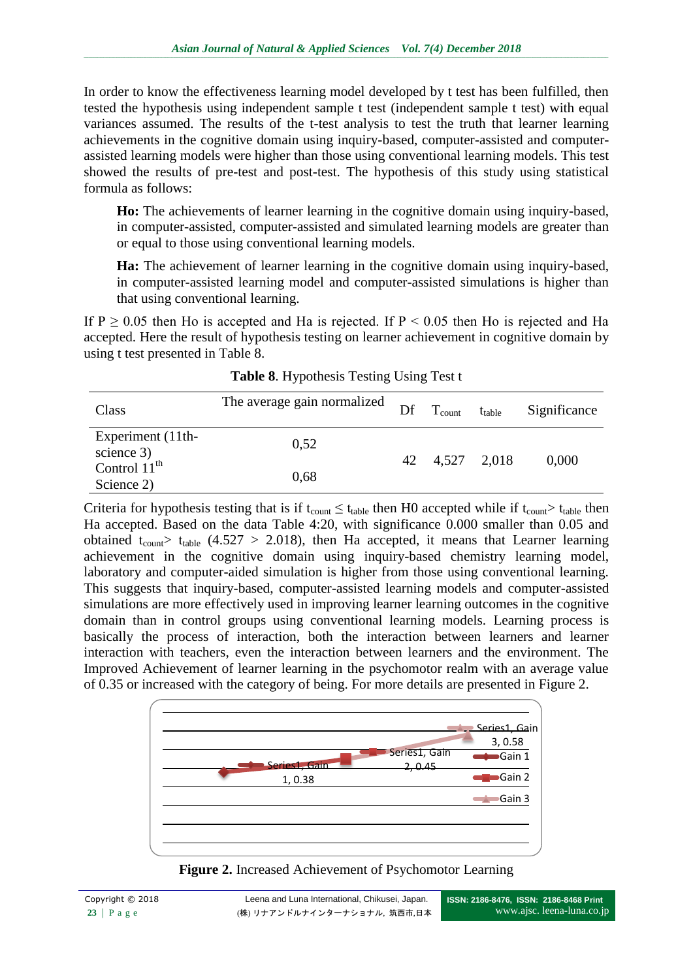In order to know the effectiveness learning model developed by t test has been fulfilled, then tested the hypothesis using independent sample t test (independent sample t test) with equal variances assumed. The results of the t-test analysis to test the truth that learner learning achievements in the cognitive domain using inquiry-based, computer-assisted and computerassisted learning models were higher than those using conventional learning models. This test showed the results of pre-test and post-test. The hypothesis of this study using statistical formula as follows:

**Ho:** The achievements of learner learning in the cognitive domain using inquiry-based, in computer-assisted, computer-assisted and simulated learning models are greater than or equal to those using conventional learning models.

**Ha:** The achievement of learner learning in the cognitive domain using inquiry-based, in computer-assisted learning model and computer-assisted simulations is higher than that using conventional learning.

If  $P \ge 0.05$  then Ho is accepted and Ha is rejected. If  $P \le 0.05$  then Ho is rejected and Ha accepted. Here the result of hypothesis testing on learner achievement in cognitive domain by using t test presented in Table 8.

| Class                                                | The average gain normalized | Df | $T_{\text{count}}$ | $t_{table}$ | Significance |
|------------------------------------------------------|-----------------------------|----|--------------------|-------------|--------------|
| Experiment (11th-                                    | 0,52                        |    |                    |             |              |
| science 3)<br>Control $11^{\text{th}}$<br>Science 2) | 0,68                        |    | 42 4,527 2,018     |             | 0,000        |

**Table 8**. Hypothesis Testing Using Test t

Criteria for hypothesis testing that is if  $t_{count} \leq t_{table}$  then H0 accepted while if  $t_{count} > t_{table}$  then Ha accepted. Based on the data Table 4:20, with significance 0.000 smaller than 0.05 and obtained t<sub>count</sub> t<sub>table</sub> (4.527 > 2.018), then Ha accepted, it means that Learner learning achievement in the cognitive domain using inquiry-based chemistry learning model, laboratory and computer-aided simulation is higher from those using conventional learning. This suggests that inquiry-based, computer-assisted learning models and computer-assisted simulations are more effectively used in improving learner learning outcomes in the cognitive domain than in control groups using conventional learning models. Learning process is basically the process of interaction, both the interaction between learners and learner interaction with teachers, even the interaction between learners and the environment. The Improved Achievement of learner learning in the psychomotor realm with an average value of 0.35 or increased with the category of being. For more details are presented in Figure 2.



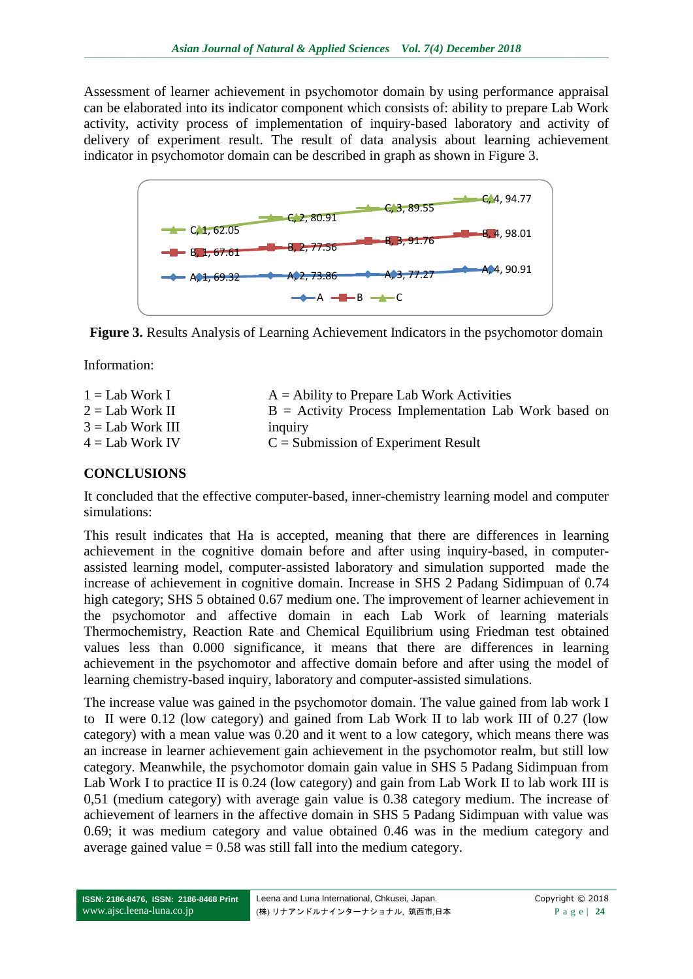Assessment of learner achievement in psychomotor domain by using performance appraisal can be elaborated into its indicator component which consists of: ability to prepare Lab Work activity, activity process of implementation of inquiry-based laboratory and activity of delivery of experiment result. The result of data analysis about learning achievement indicator in psychomotor domain can be described in graph as shown in Figure 3.



**Figure 3.** Results Analysis of Learning Achievement Indicators in the psychomotor domain

Information:

| $1 =$ Lab Work I   | $A =$ Ability to Prepare Lab Work Activities            |
|--------------------|---------------------------------------------------------|
| $2 =$ Lab Work II  | $B =$ Activity Process Implementation Lab Work based on |
| $3 =$ Lab Work III | <i>nquiry</i>                                           |
| $4 =$ Lab Work IV  | $C =$ Submission of Experiment Result                   |
|                    |                                                         |

### **CONCLUSIONS**

It concluded that the effective computer-based, inner-chemistry learning model and computer simulations:

This result indicates that Ha is accepted, meaning that there are differences in learning achievement in the cognitive domain before and after using inquiry-based, in computerassisted learning model, computer-assisted laboratory and simulation supported made the increase of achievement in cognitive domain. Increase in SHS 2 Padang Sidimpuan of 0.74 high category; SHS 5 obtained 0.67 medium one. The improvement of learner achievement in the psychomotor and affective domain in each Lab Work of learning materials Thermochemistry, Reaction Rate and Chemical Equilibrium using Friedman test obtained values less than 0.000 significance, it means that there are differences in learning achievement in the psychomotor and affective domain before and after using the model of learning chemistry-based inquiry, laboratory and computer-assisted simulations.

The increase value was gained in the psychomotor domain. The value gained from lab work I to II were 0.12 (low category) and gained from Lab Work II to lab work III of 0.27 (low category) with a mean value was 0.20 and it went to a low category, which means there was an increase in learner achievement gain achievement in the psychomotor realm, but still low category. Meanwhile, the psychomotor domain gain value in SHS 5 Padang Sidimpuan from Lab Work I to practice II is 0.24 (low category) and gain from Lab Work II to lab work III is 0,51 (medium category) with average gain value is 0.38 category medium. The increase of achievement of learners in the affective domain in SHS 5 Padang Sidimpuan with value was 0.69; it was medium category and value obtained 0.46 was in the medium category and average gained value  $= 0.58$  was still fall into the medium category.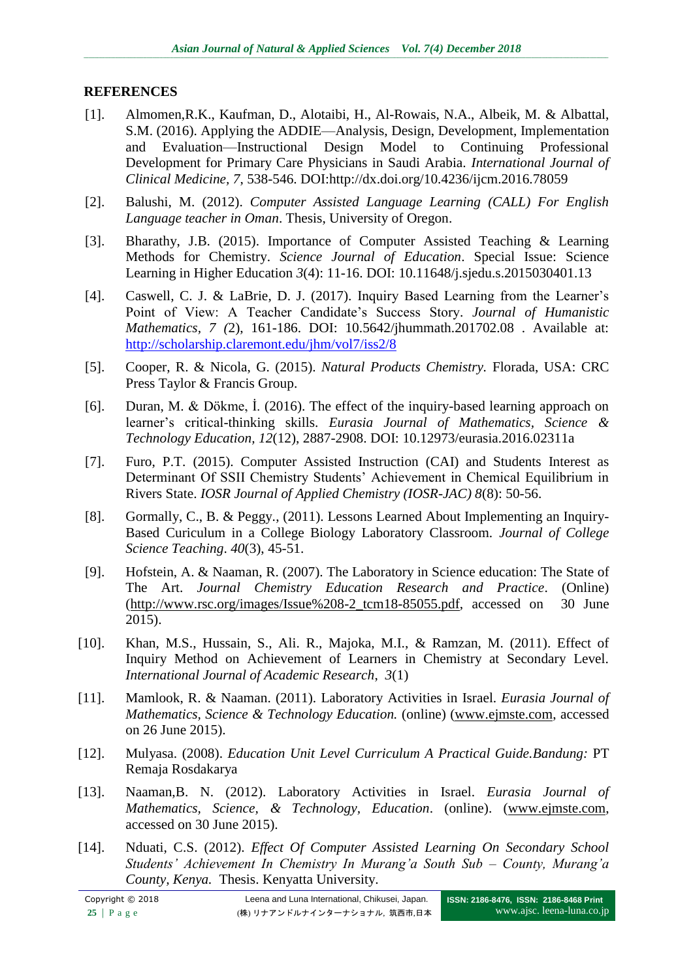## **REFERENCES**

- [1]. Almomen,R.K., Kaufman, D., Alotaibi, H., Al-Rowais, N.A., Albeik, M. & Albattal, S.M. (2016). Applying the ADDIE—Analysis, Design, Development, Implementation and Evaluation—Instructional Design Model to Continuing Professional Development for Primary Care Physicians in Saudi Arabia. *International Journal of Clinical Medicine, 7*, 538-546. DOI:http://dx.doi.org/10.4236/ijcm.2016.78059
- [2]. Balushi, M. (2012). *Computer Assisted Language Learning (CALL) For English Language teacher in Oman*. Thesis, University of Oregon.
- [3]. Bharathy, J.B. (2015). Importance of Computer Assisted Teaching & Learning Methods for Chemistry. *Science Journal of Education*. Special Issue: Science Learning in Higher Education *3*(4): 11-16. DOI: 10.11648/j.sjedu.s.2015030401.13
- [4]. Caswell, C. J. & LaBrie, D. J. (2017). Inquiry Based Learning from the Learner's Point of View: A Teacher Candidate's Success Story. *Journal of Humanistic Mathematics, 7 (*2), 161-186. DOI: 10.5642/jhummath.201702.08 . Available at: <http://scholarship.claremont.edu/jhm/vol7/iss2/8>
- [5]. Cooper, R. & Nicola, G. (2015). *Natural Products Chemistry.* Florada, USA: CRC Press Taylor & Francis Group.
- [6]. Duran, M. & Dökme, İ. (2016). The effect of the inquiry-based learning approach on learner's critical-thinking skills. *Eurasia Journal of Mathematics, Science & Technology Education, 12*(12), 2887-2908. DOI: 10.12973/eurasia.2016.02311a
- [7]. Furo, P.T. (2015). Computer Assisted Instruction (CAI) and Students Interest as Determinant Of SSII Chemistry Students' Achievement in Chemical Equilibrium in Rivers State. *IOSR Journal of Applied Chemistry (IOSR-JAC) 8*(8): 50-56.
- [8]. Gormally, C., B. & Peggy., (2011). Lessons Learned About Implementing an Inquiry-Based Curiculum in a College Biology Laboratory Classroom. *Journal of College Science Teaching*. *40*(3), 45-51.
- [9]. Hofstein, A. & Naaman, R. (2007). The Laboratory in Science education: The State of The Art. *Journal Chemistry Education Research and Practice*. (Online) [\(http://www.rsc.org/images/Issue%208-2\\_tcm18-85055.pdf,](http://www.rsc.org/images/Issue%208-2_tcm18-85055.pdf) accessed on 30 June 2015).
- [10]. Khan, M.S., Hussain, S., Ali. R., Majoka, M.I., & Ramzan, M. (2011). Effect of Inquiry Method on Achievement of Learners in Chemistry at Secondary Level. *International Journal of Academic Research*, *3*(1)
- [11]. Mamlook, R. & Naaman. (2011). Laboratory Activities in Israel. *Eurasia Journal of Mathematics, Science & Technology Education.* (online) [\(www.ejmste.com,](http://www.ejmste.com/) accessed on 26 June 2015).
- [12]. Mulyasa. (2008). *Education Unit Level Curriculum A Practical Guide.Bandung:* PT Remaja Rosdakarya
- [13]. Naaman,B. N. (2012). Laboratory Activities in Israel. *Eurasia Journal of Mathematics, Science, & Technology, Education*. (online). [\(www.ejmste.com,](http://www.ejmste.com/) accessed on 30 June 2015).
- [14]. Nduati, C.S. (2012). *Effect Of Computer Assisted Learning On Secondary School Students' Achievement In Chemistry In Murang'a South Sub – County, Murang'a County, Kenya.* Thesis. Kenyatta University.